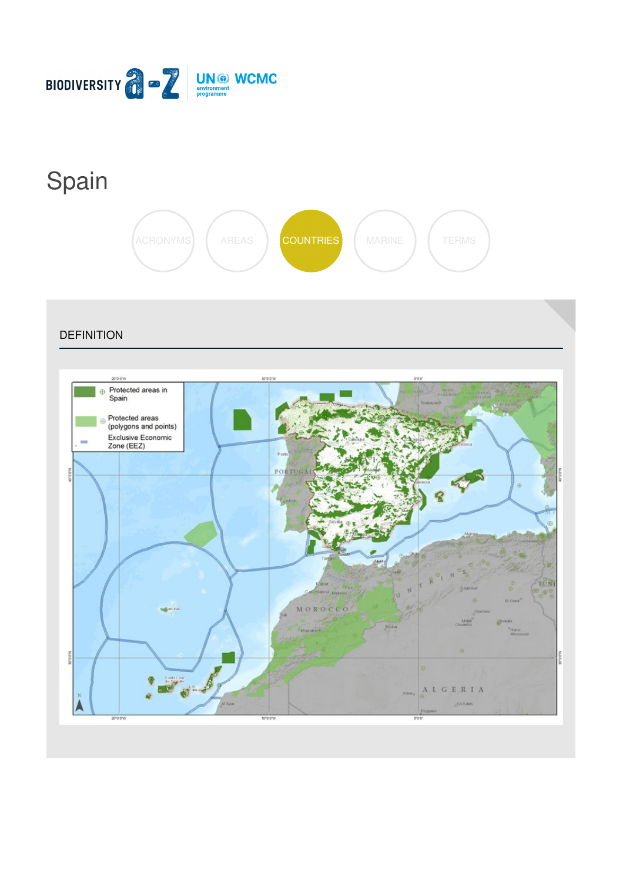

# [Spain](https://biodiversitya-z.org/content/spain)



**DEFINITION** 

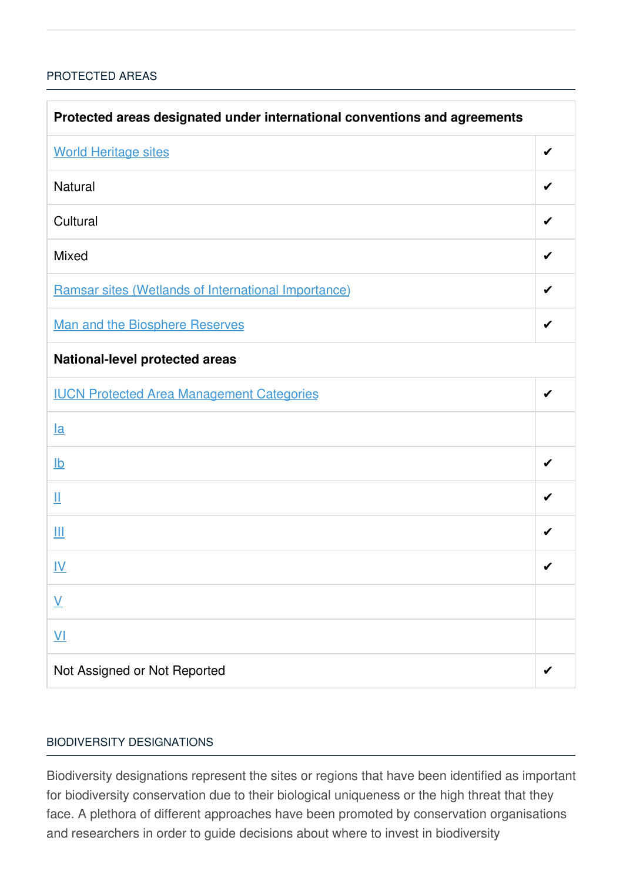#### [PROTECTED](javascript:void(0)) AREAS

| Protected areas designated under international conventions and agreements |   |  |
|---------------------------------------------------------------------------|---|--|
| <b>World Heritage sites</b>                                               | ✔ |  |
| <b>Natural</b>                                                            | ✔ |  |
| Cultural                                                                  | ✔ |  |
| <b>Mixed</b>                                                              | ✔ |  |
| Ramsar sites (Wetlands of International Importance)                       | ✔ |  |
| Man and the Biosphere Reserves                                            | ✔ |  |
| National-level protected areas                                            |   |  |
| <b>IUCN Protected Area Management Categories</b>                          | ✔ |  |
| $l$ a                                                                     |   |  |
| $\underline{\mathsf{lb}}$                                                 | ✔ |  |
| Щ                                                                         | ✔ |  |
| Ш                                                                         | ✔ |  |
| IV                                                                        | ✔ |  |
| $\underline{\mathsf{V}}$                                                  |   |  |
| $\underline{\mathsf{V}}$                                                  |   |  |
| Not Assigned or Not Reported                                              |   |  |

#### BIODIVERSITY [DESIGNATIONS](javascript:void(0))

Biodiversity designations represent the sites or regions that have been identified as important for biodiversity conservation due to their biological uniqueness or the high threat that they face. A plethora of different approaches have been promoted by conservation organisations and researchers in order to guide decisions about where to invest in biodiversity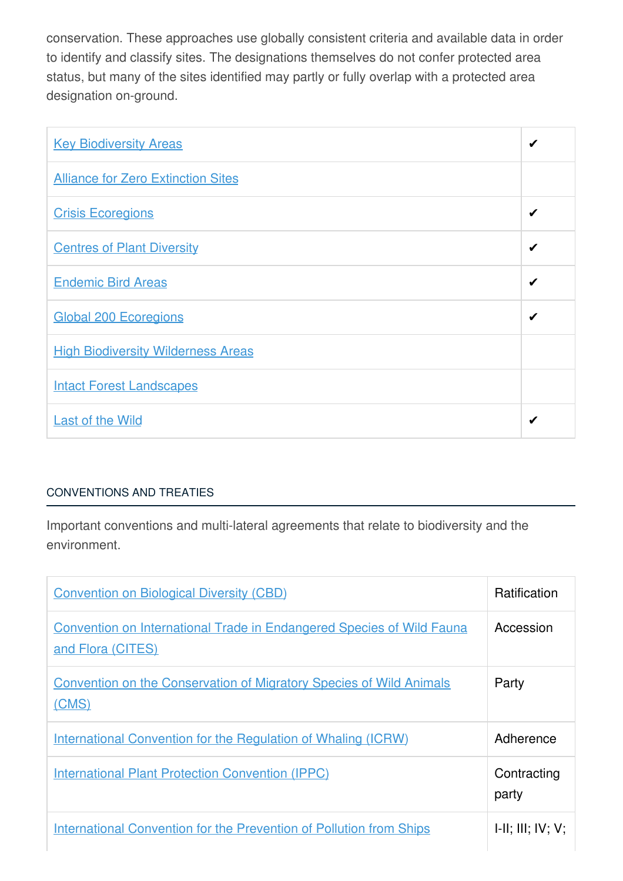conservation. These approaches use globally consistent criteria and available data in order to identify and classify sites. The designations themselves do not confer protected area status, but many of the sites identified may partly or fully overlap with a protected area designation on-ground.

| <b>Key Biodiversity Areas</b>             | ✔ |
|-------------------------------------------|---|
| <b>Alliance for Zero Extinction Sites</b> |   |
| <b>Crisis Ecoregions</b>                  | ✔ |
| <b>Centres of Plant Diversity</b>         | ✔ |
| <b>Endemic Bird Areas</b>                 | ✔ |
| <b>Global 200 Ecoregions</b>              | ✔ |
| <b>High Biodiversity Wilderness Areas</b> |   |
| <b>Intact Forest Landscapes</b>           |   |
| <b>Last of the Wild</b>                   | ✔ |

## [CONVENTIONS](javascript:void(0)) AND TREATIES

Important conventions and multi-lateral agreements that relate to biodiversity and the environment.

| <b>Convention on Biological Diversity (CBD)</b>                                                   | <b>Ratification</b>  |
|---------------------------------------------------------------------------------------------------|----------------------|
| <b>Convention on International Trade in Endangered Species of Wild Fauna</b><br>and Flora (CITES) | Accession            |
| <b>Convention on the Conservation of Migratory Species of Wild Animals</b><br>(CMS)               | Party                |
| <b>International Convention for the Regulation of Whaling (ICRW)</b>                              | Adherence            |
| <b>International Plant Protection Convention (IPPC)</b>                                           | Contracting<br>party |
| <b>International Convention for the Prevention of Pollution from Ships</b>                        | H: III; IV; V;       |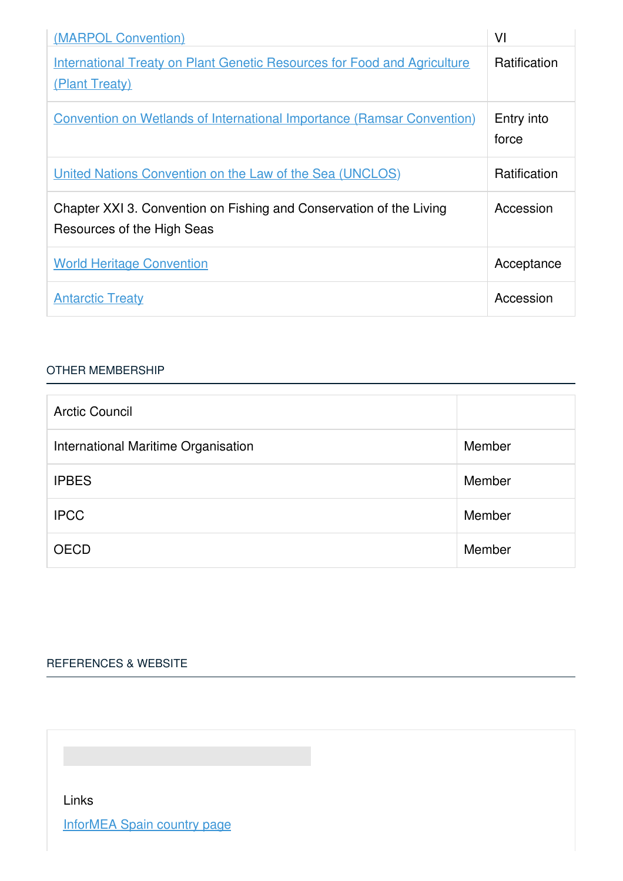| (MARPOL Convention)                                                                               | VI                  |
|---------------------------------------------------------------------------------------------------|---------------------|
| <b>International Treaty on Plant Genetic Resources for Food and Agriculture</b><br>(Plant Treaty) | Ratification        |
| <b>Convention on Wetlands of International Importance (Ramsar Convention)</b>                     | Entry into<br>force |
| United Nations Convention on the Law of the Sea (UNCLOS)                                          | <b>Ratification</b> |
| Chapter XXI 3. Convention on Fishing and Conservation of the Living<br>Resources of the High Seas | Accession           |
| <b>World Heritage Convention</b>                                                                  | Acceptance          |
| <b>Antarctic Treaty</b>                                                                           | Accession           |

## OTHER [MEMBERSHIP](javascript:void(0))

| <b>Arctic Council</b>               |        |
|-------------------------------------|--------|
| International Maritime Organisation | Member |
| <b>IPBES</b>                        | Member |
| <b>IPCC</b>                         | Member |
| <b>OECD</b>                         | Member |

## [REFERENCES](javascript:void(0)) & WEBSITE

Links

[InforMEA](https://www.informea.org/countries/es) Spain country page